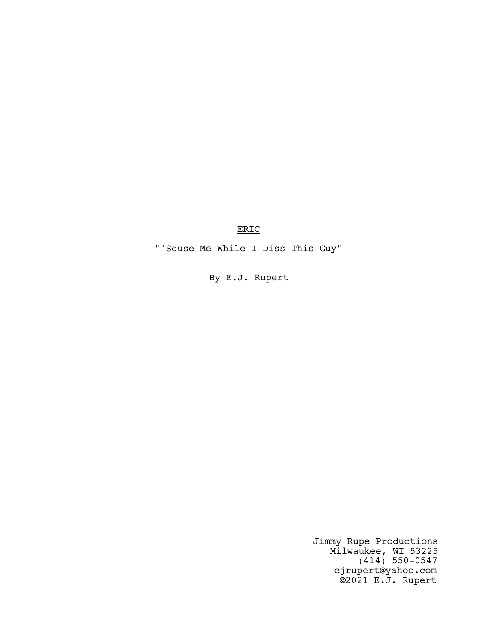ERIC

"'Scuse Me While I Diss This Guy"

By E.J. Rupert

Jimmy Rupe Productions Milwaukee, WI 53225 (414) 550-0547 ejrupert@yahoo.com ©2021 E.J. Rupert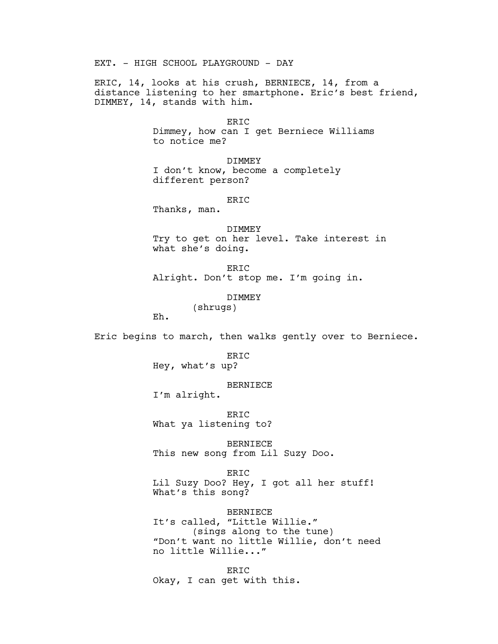EXT. - HIGH SCHOOL PLAYGROUND - DAY

ERIC, 14, looks at his crush, BERNIECE, 14, from a distance listening to her smartphone. Eric's best friend, DIMMEY, 14, stands with him.

#### ERIC

Dimmey, how can I get Berniece Williams to notice me?

DIMMEY I don't know, become a completely different person?

ERIC

Thanks, man.

DIMMEY Try to get on her level. Take interest in what she's doing.

ERIC Alright. Don't stop me. I'm going in.

# DIMMEY

(shrugs)

Eh.

Eric begins to march, then walks gently over to Berniece.

ERIC Hey, what's up?

#### BERNIECE

I'm alright.

ERIC What ya listening to?

BERNIECE This new song from Lil Suzy Doo.

ERIC Lil Suzy Doo? Hey, I got all her stuff! What's this song?

BERNIECE It's called, "Little Willie." (sings along to the tune) "Don't want no little Willie, don't need no little Willie..."

ERIC Okay, I can get with this.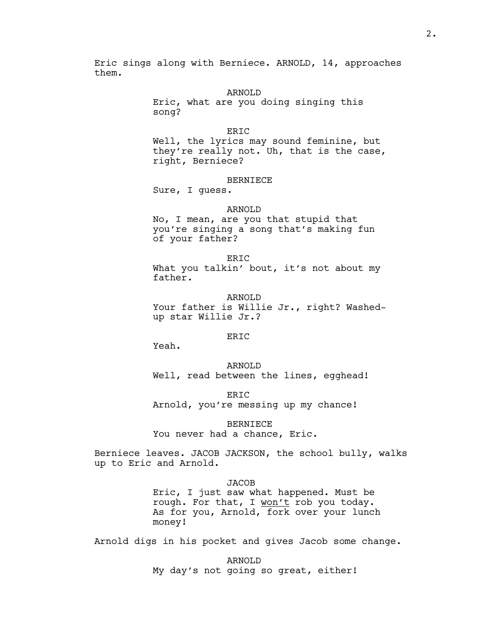Eric sings along with Berniece. ARNOLD, 14, approaches them.

#### ARNOLD

Eric, what are you doing singing this song?

ERIC

Well, the lyrics may sound feminine, but they're really not. Uh, that is the case, right, Berniece?

# BERNIECE

Sure, I guess.

## ARNOLD

No, I mean, are you that stupid that you're singing a song that's making fun of your father?

ER<sub>TC</sub> What you talkin' bout, it's not about my father.

ARNOLD Your father is Willie Jr., right? Washedup star Willie Jr.?

## ERIC

Yeah.

ARNOLD Well, read between the lines, egghead!

ERIC Arnold, you're messing up my chance!

BERNIECE You never had a chance, Eric.

Berniece leaves. JACOB JACKSON, the school bully, walks up to Eric and Arnold.

# **JACOB**

Eric, I just saw what happened. Must be rough. For that, I won't rob you today. As for you, Arnold, fork over your lunch money!

Arnold digs in his pocket and gives Jacob some change.

ARNOLD My day's not going so great, either!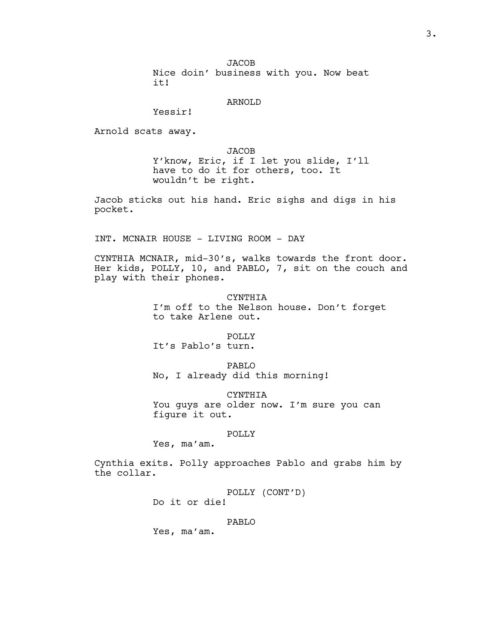**JACOB** Nice doin' business with you. Now beat it!

# ARNOLD

Yessir!

Arnold scats away.

JACOB Y'know, Eric, if I let you slide, I'll have to do it for others, too. It wouldn't be right.

Jacob sticks out his hand. Eric sighs and digs in his pocket.

INT. MCNAIR HOUSE - LIVING ROOM - DAY

CYNTHIA MCNAIR, mid-30's, walks towards the front door. Her kids, POLLY, 10, and PABLO, 7, sit on the couch and play with their phones.

> CYNTHIA I'm off to the Nelson house. Don't forget to take Arlene out.

POLLY It's Pablo's turn.

PABLO No, I already did this morning!

CYNTHIA You guys are older now. I'm sure you can figure it out.

# POLLY

Yes, ma'am.

Cynthia exits. Polly approaches Pablo and grabs him by the collar.

> POLLY (CONT'D) Do it or die!

#### PABLO

Yes, ma'am.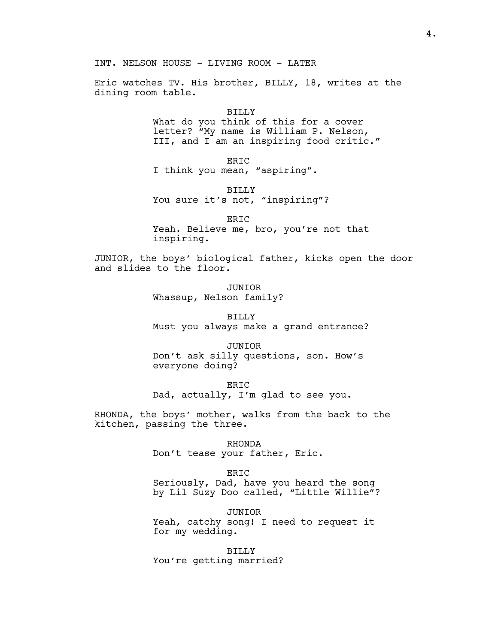INT. NELSON HOUSE - LIVING ROOM - LATER

Eric watches TV. His brother, BILLY, 18, writes at the dining room table.

## BILLY

What do you think of this for a cover letter? "My name is William P. Nelson, III, and I am an inspiring food critic."

ERIC I think you mean, "aspiring".

BILLY

You sure it's not, "inspiring"?

ERIC Yeah. Believe me, bro, you're not that inspiring.

JUNIOR, the boys' biological father, kicks open the door and slides to the floor.

> JUNIOR Whassup, Nelson family?

BILLY Must you always make a grand entrance?

JUNIOR Don't ask silly questions, son. How's everyone doing?

ERIC Dad, actually, I'm glad to see you.

RHONDA, the boys' mother, walks from the back to the kitchen, passing the three.

> RHONDA Don't tease your father, Eric.

ER<sub>TC</sub> Seriously, Dad, have you heard the song by Lil Suzy Doo called, "Little Willie"?

JUNIOR Yeah, catchy song! I need to request it for my wedding.

BILLY You're getting married?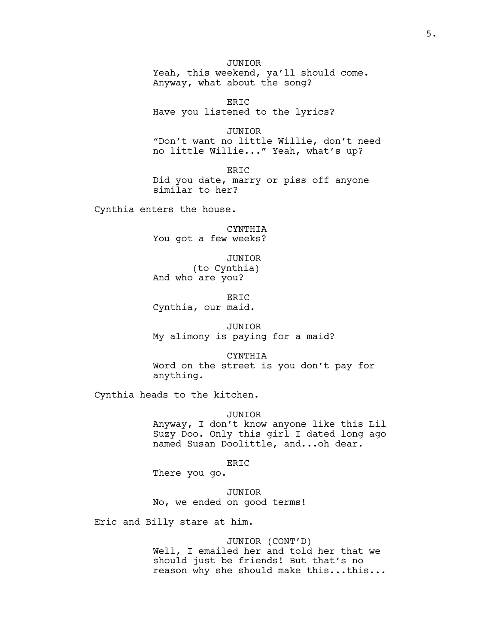JUNIOR Yeah, this weekend, ya'll should come. Anyway, what about the song?

ERIC Have you listened to the lyrics?

JUNIOR "Don't want no little Willie, don't need no little Willie..." Yeah, what's up?

ERIC Did you date, marry or piss off anyone similar to her?

Cynthia enters the house.

CYNTHIA You got a few weeks?

JUNIOR (to Cynthia) And who are you?

ER<sub>TC</sub> Cynthia, our maid.

JUNIOR My alimony is paying for a maid?

CYNTHIA Word on the street is you don't pay for anything.

Cynthia heads to the kitchen.

#### JUNIOR

Anyway, I don't know anyone like this Lil Suzy Doo. Only this girl I dated long ago named Susan Doolittle, and...oh dear.

ERIC

There you go.

JUNIOR No, we ended on good terms!

Eric and Billy stare at him.

# JUNIOR (CONT'D)

Well, I emailed her and told her that we should just be friends! But that's no reason why she should make this...this...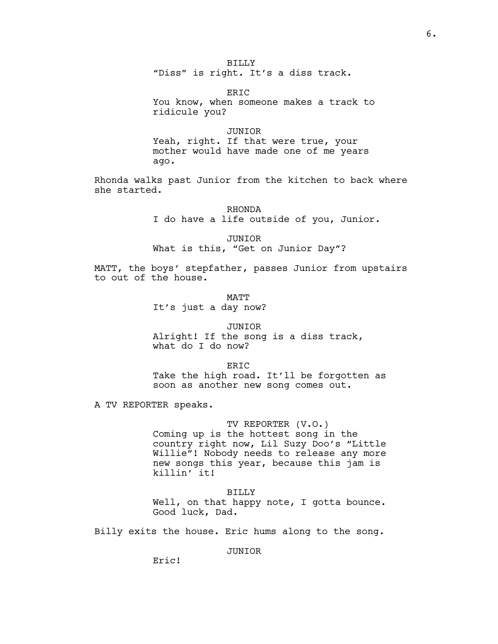# BILLY

"Diss" is right. It's a diss track.

ERIC You know, when someone makes a track to ridicule you?

#### JUNIOR

Yeah, right. If that were true, your mother would have made one of me years ago.

Rhonda walks past Junior from the kitchen to back where she started.

> RHONDA I do have a life outside of you, Junior.

JUNIOR What is this, "Get on Junior Day"?

MATT, the boys' stepfather, passes Junior from upstairs to out of the house.

> **MATT** It's just a day now?

## JUNIOR

Alright! If the song is a diss track, what do I do now?

ER<sub>TC</sub> Take the high road. It'll be forgotten as soon as another new song comes out.

A TV REPORTER speaks.

# TV REPORTER (V.O.)

Coming up is the hottest song in the country right now, Lil Suzy Doo's "Little Willie"! Nobody needs to release any more new songs this year, because this jam is killin' it!

BILLY Well, on that happy note, I gotta bounce. Good luck, Dad.

Billy exits the house. Eric hums along to the song.

JUNIOR

Eric!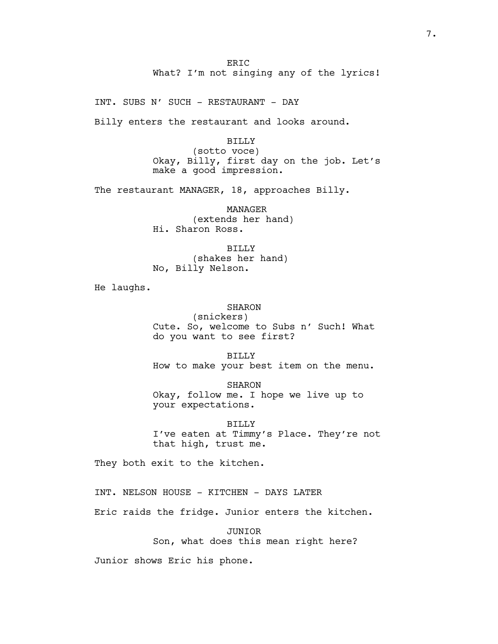ER<sub>TC</sub> What? I'm not singing any of the lyrics!

INT. SUBS N' SUCH - RESTAURANT - DAY

Billy enters the restaurant and looks around.

BILLY (sotto voce) Okay, Billy, first day on the job. Let's make a good impression.

The restaurant MANAGER, 18, approaches Billy.

MANAGER (extends her hand) Hi. Sharon Ross.

BILLY (shakes her hand) No, Billy Nelson.

He laughs.

SHARON

(snickers) Cute. So, welcome to Subs n' Such! What do you want to see first?

BILLY How to make your best item on the menu.

SHARON Okay, follow me. I hope we live up to your expectations.

BILLY I've eaten at Timmy's Place. They're not that high, trust me.

They both exit to the kitchen.

INT. NELSON HOUSE - KITCHEN - DAYS LATER

Eric raids the fridge. Junior enters the kitchen.

JUNIOR Son, what does this mean right here?

Junior shows Eric his phone.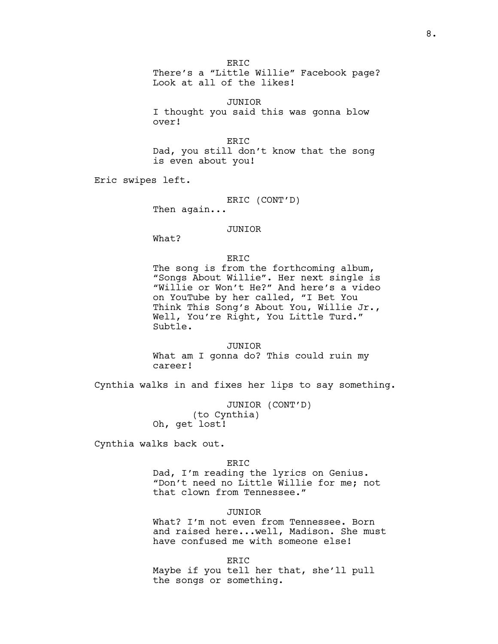ER<sub>TC</sub> There's a "Little Willie" Facebook page? Look at all of the likes!

JUNIOR I thought you said this was gonna blow over!

ERIC Dad, you still don't know that the song is even about you!

Eric swipes left.

ERIC (CONT'D)

Then again...

## JUNIOR

What?

# ERIC

The song is from the forthcoming album, "Songs About Willie". Her next single is "Willie or Won't He?" And here's a video on YouTube by her called, "I Bet You Think This Song's About You, Willie Jr., Well, You're Right, You Little Turd." Subtle.

JUNIOR What am I gonna do? This could ruin my career!

Cynthia walks in and fixes her lips to say something.

JUNIOR (CONT'D) (to Cynthia) Oh, get lost!

Cynthia walks back out.

#### ERIC

Dad, I'm reading the lyrics on Genius. "Don't need no Little Willie for me; not that clown from Tennessee."

# JUNIOR

What? I'm not even from Tennessee. Born and raised here...well, Madison. She must have confused me with someone else!

ER<sub>TC</sub>

Maybe if you tell her that, she'll pull the songs or something.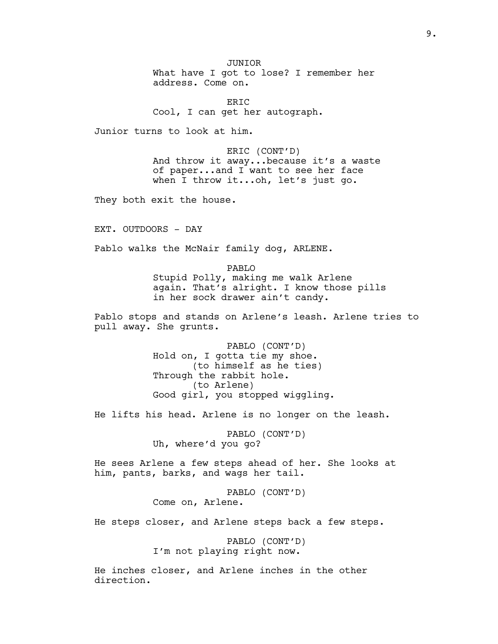JUNIOR What have I got to lose? I remember her address. Come on.

ERIC Cool, I can get her autograph.

Junior turns to look at him.

ERIC (CONT'D) And throw it away...because it's a waste of paper...and I want to see her face when I throw it...oh, let's just go.

They both exit the house.

EXT. OUTDOORS - DAY

Pablo walks the McNair family dog, ARLENE.

PABLO

Stupid Polly, making me walk Arlene again. That's alright. I know those pills in her sock drawer ain't candy.

Pablo stops and stands on Arlene's leash. Arlene tries to pull away. She grunts.

> PABLO (CONT'D) Hold on, I gotta tie my shoe. (to himself as he ties) Through the rabbit hole. (to Arlene) Good girl, you stopped wiggling.

He lifts his head. Arlene is no longer on the leash.

PABLO (CONT'D) Uh, where'd you go?

He sees Arlene a few steps ahead of her. She looks at him, pants, barks, and wags her tail.

> PABLO (CONT'D) Come on, Arlene.

He steps closer, and Arlene steps back a few steps.

PABLO (CONT'D) I'm not playing right now.

He inches closer, and Arlene inches in the other direction.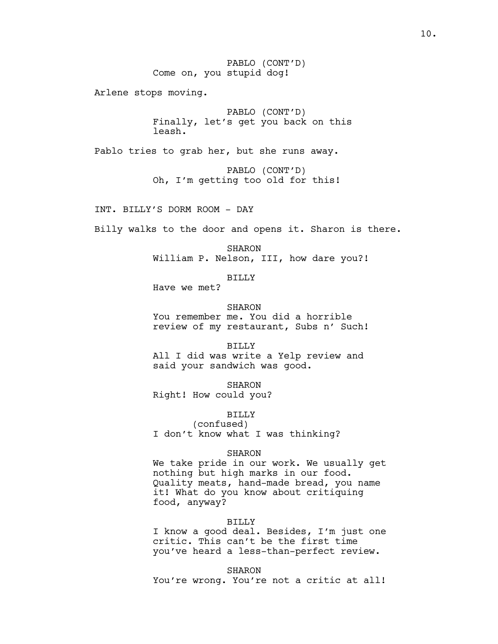PABLO (CONT'D) Come on, you stupid dog!

Arlene stops moving.

PABLO (CONT'D) Finally, let's get you back on this leash.

Pablo tries to grab her, but she runs away.

PABLO (CONT'D) Oh, I'm getting too old for this!

INT. BILLY'S DORM ROOM - DAY

Billy walks to the door and opens it. Sharon is there.

SHARON William P. Nelson, III, how dare you?!

BILLY

Have we met?

**SHARON** You remember me. You did a horrible review of my restaurant, Subs n' Such!

BILLY

All I did was write a Yelp review and said your sandwich was good.

SHARON Right! How could you?

BILLY

(confused) I don't know what I was thinking?

#### SHARON

We take pride in our work. We usually get nothing but high marks in our food. Quality meats, hand-made bread, you name it! What do you know about critiquing food, anyway?

## BILLY

I know a good deal. Besides, I'm just one critic. This can't be the first time you've heard a less-than-perfect review.

SHARON

You're wrong. You're not a critic at all!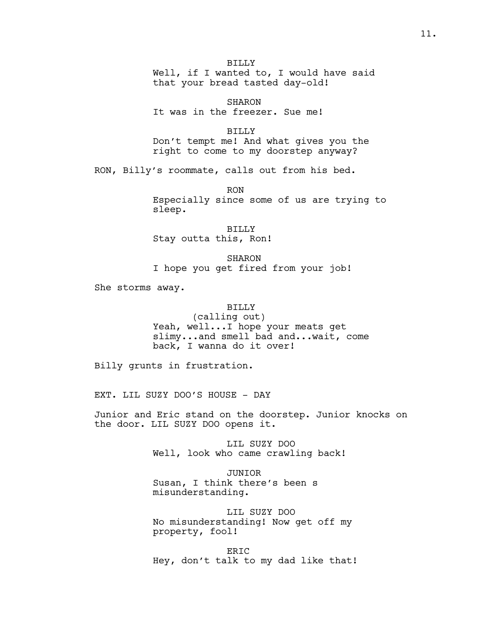BILLY Well, if I wanted to, I would have said that your bread tasted day-old!

SHARON It was in the freezer. Sue me!

BILLY Don't tempt me! And what gives you the right to come to my doorstep anyway?

RON, Billy's roommate, calls out from his bed.

RON Especially since some of us are trying to sleep.

BILLY Stay outta this, Ron!

SHARON I hope you get fired from your job!

She storms away.

# BILLY

(calling out) Yeah, well...I hope your meats get slimy...and smell bad and...wait, come back, I wanna do it over!

Billy grunts in frustration.

EXT. LIL SUZY DOO'S HOUSE - DAY

Junior and Eric stand on the doorstep. Junior knocks on the door. LIL SUZY DOO opens it.

> LIL SUZY DOO Well, look who came crawling back!

JUNIOR Susan, I think there's been s misunderstanding.

LIL SUZY DOO No misunderstanding! Now get off my property, fool!

ERIC Hey, don't talk to my dad like that!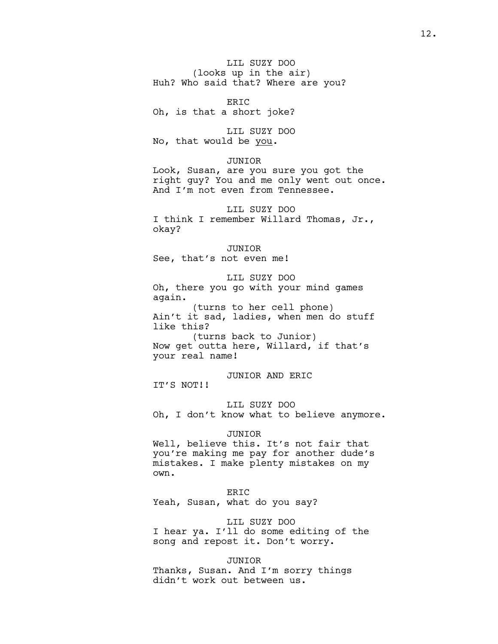LIL SUZY DOO (looks up in the air) Huh? Who said that? Where are you?

ERIC Oh, is that a short joke?

LIL SUZY DOO No, that would be you.

# JUNIOR

Look, Susan, are you sure you got the right guy? You and me only went out once. And I'm not even from Tennessee.

LIL SUZY DOO I think I remember Willard Thomas, Jr., okay?

#### JUNIOR

See, that's not even me!

LIL SUZY DOO Oh, there you go with your mind games again.

(turns to her cell phone) Ain't it sad, ladies, when men do stuff like this? (turns back to Junior)

Now get outta here, Willard, if that's your real name!

JUNIOR AND ERIC IT'S NOT!!

LIL SUZY DOO Oh, I don't know what to believe anymore.

# JUNIOR

Well, believe this. It's not fair that you're making me pay for another dude's mistakes. I make plenty mistakes on my own.

# ERIC

Yeah, Susan, what do you say?

LIL SUZY DOO I hear ya. I'll do some editing of the song and repost it. Don't worry.

#### JUNIOR

Thanks, Susan. And I'm sorry things didn't work out between us.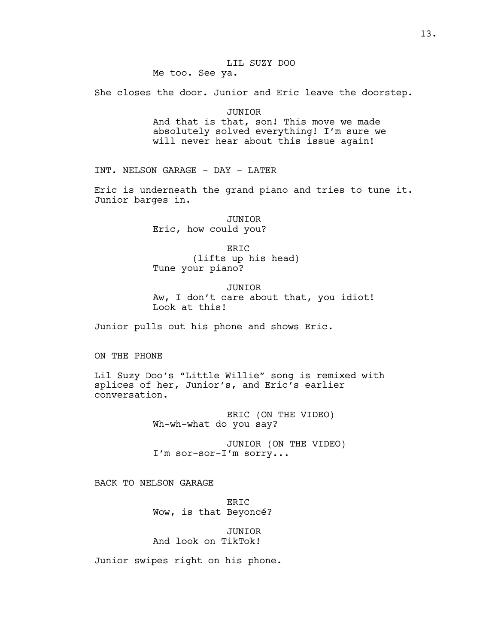She closes the door. Junior and Eric leave the doorstep.

JUNIOR

And that is that, son! This move we made absolutely solved everything! I'm sure we will never hear about this issue again!

INT. NELSON GARAGE - DAY - LATER

Eric is underneath the grand piano and tries to tune it. Junior barges in.

> JUNIOR Eric, how could you?

ERIC (lifts up his head) Tune your piano?

JUNIOR Aw, I don't care about that, you idiot! Look at this!

Junior pulls out his phone and shows Eric.

ON THE PHONE

Lil Suzy Doo's "Little Willie" song is remixed with splices of her, Junior's, and Eric's earlier conversation.

> ERIC (ON THE VIDEO) Wh-wh-what do you say?

JUNIOR (ON THE VIDEO) I'm sor-sor-I'm sorry...

BACK TO NELSON GARAGE

ERIC Wow, is that Beyoncé?

JUNIOR And look on TikTok!

Junior swipes right on his phone.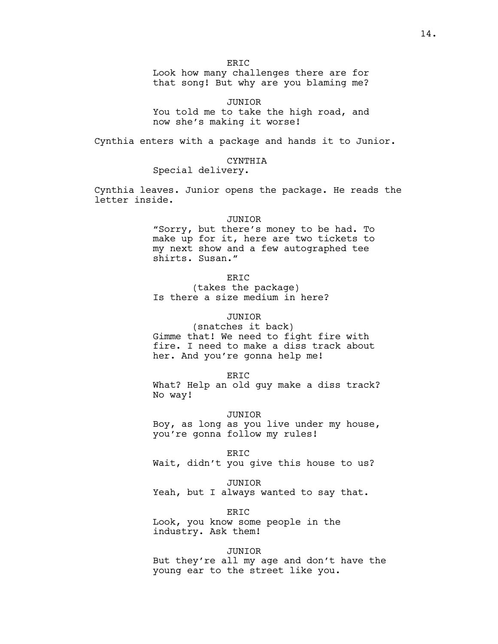ER<sub>IC</sub>

Look how many challenges there are for that song! But why are you blaming me?

JUNIOR You told me to take the high road, and now she's making it worse!

Cynthia enters with a package and hands it to Junior.

CYNTHIA

Special delivery.

Cynthia leaves. Junior opens the package. He reads the letter inside.

# JUNIOR

"Sorry, but there's money to be had. To make up for it, here are two tickets to my next show and a few autographed tee shirts. Susan."

ERIC

(takes the package) Is there a size medium in here?

# JUNIOR

(snatches it back) Gimme that! We need to fight fire with fire. I need to make a diss track about her. And you're gonna help me!

ERIC

What? Help an old guy make a diss track? No way!

JUNIOR

Boy, as long as you live under my house, you're gonna follow my rules!

ERIC

Wait, didn't you give this house to us?

## JUNIOR

Yeah, but I always wanted to say that.

ERIC

Look, you know some people in the industry. Ask them!

# JUNIOR

But they're all my age and don't have the young ear to the street like you.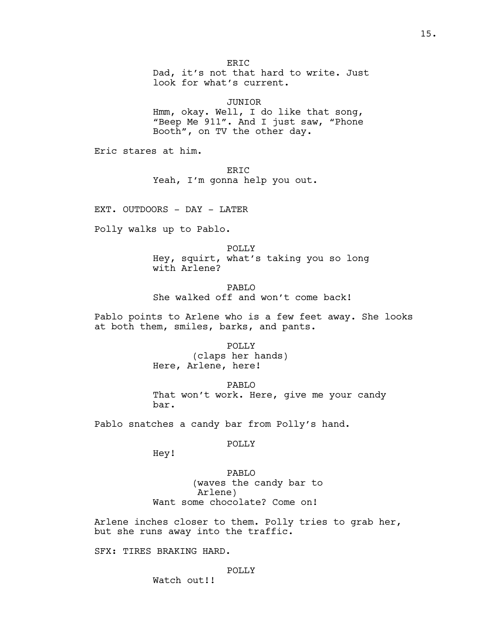ERIC Dad, it's not that hard to write. Just look for what's current.

JUNIOR Hmm, okay. Well, I do like that song, "Beep Me 911". And I just saw, "Phone Booth", on TV the other day.

Eric stares at him.

ERIC Yeah, I'm gonna help you out.

EXT. OUTDOORS - DAY - LATER

Polly walks up to Pablo.

POLLY Hey, squirt, what's taking you so long with Arlene?

PABLO She walked off and won't come back!

Pablo points to Arlene who is a few feet away. She looks at both them, smiles, barks, and pants.

> POLLY (claps her hands) Here, Arlene, here!

PABLO That won't work. Here, give me your candy bar.

Pablo snatches a candy bar from Polly's hand.

POLLY

Hey!

PABLO (waves the candy bar to Arlene) Want some chocolate? Come on!

Arlene inches closer to them. Polly tries to grab her, but she runs away into the traffic.

SFX: TIRES BRAKING HARD.

# POLLY

Watch out!!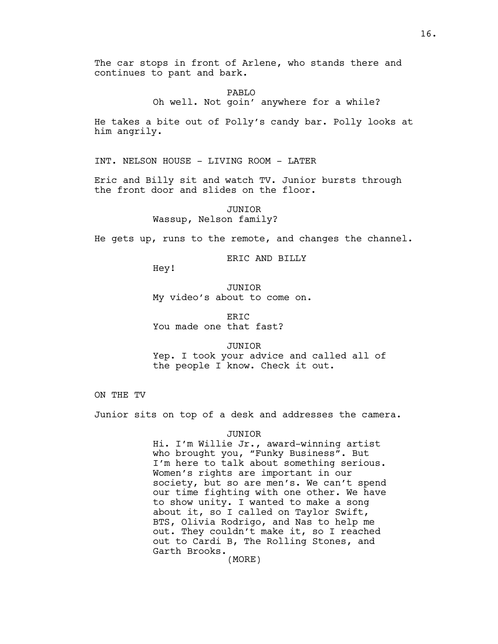The car stops in front of Arlene, who stands there and continues to pant and bark.

PABLO

Oh well. Not goin' anywhere for a while?

He takes a bite out of Polly's candy bar. Polly looks at him angrily.

INT. NELSON HOUSE - LIVING ROOM - LATER

Eric and Billy sit and watch TV. Junior bursts through the front door and slides on the floor.

> JUNIOR Wassup, Nelson family?

He gets up, runs to the remote, and changes the channel.

ERIC AND BILLY

Hey!

JUNIOR My video's about to come on.

ER<sub>IC</sub> You made one that fast?

JUNIOR Yep. I took your advice and called all of the people I know. Check it out.

ON THE TV

Junior sits on top of a desk and addresses the camera.

# JUNIOR

Hi. I'm Willie Jr., award-winning artist who brought you, "Funky Business". But I'm here to talk about something serious. Women's rights are important in our society, but so are men's. We can't spend our time fighting with one other. We have to show unity. I wanted to make a song about it, so I called on Taylor Swift, BTS, Olivia Rodrigo, and Nas to help me out. They couldn't make it, so I reached out to Cardi B, The Rolling Stones, and Garth Brooks.

(MORE)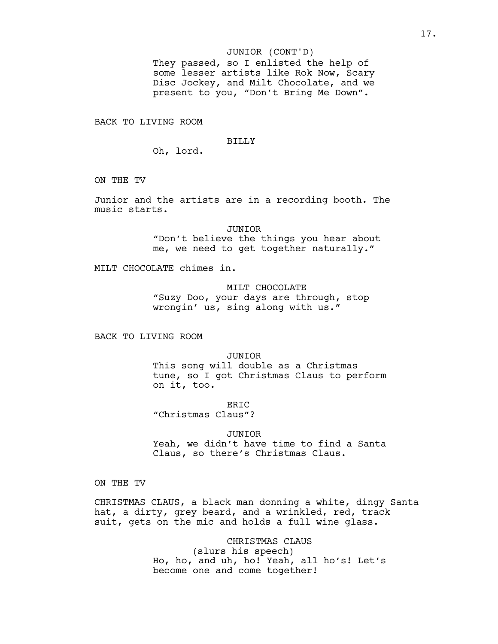## JUNIOR (CONT'D)

They passed, so I enlisted the help of some lesser artists like Rok Now, Scary Disc Jockey, and Milt Chocolate, and we present to you, "Don't Bring Me Down".

BACK TO LIVING ROOM

#### BILLY

Oh, lord.

ON THE TV

Junior and the artists are in a recording booth. The music starts.

> JUNIOR "Don't believe the things you hear about me, we need to get together naturally."

MILT CHOCOLATE chimes in.

MILT CHOCOLATE "Suzy Doo, your days are through, stop wrongin' us, sing along with us."

BACK TO LIVING ROOM

JUNIOR

This song will double as a Christmas tune, so I got Christmas Claus to perform on it, too.

ER<sub>IC</sub>

"Christmas Claus"?

JUNIOR

Yeah, we didn't have time to find a Santa Claus, so there's Christmas Claus.

ON THE TV

CHRISTMAS CLAUS, a black man donning a white, dingy Santa hat, a dirty, grey beard, and a wrinkled, red, track suit, gets on the mic and holds a full wine glass.

> CHRISTMAS CLAUS (slurs his speech) Ho, ho, and uh, ho! Yeah, all ho's! Let's become one and come together!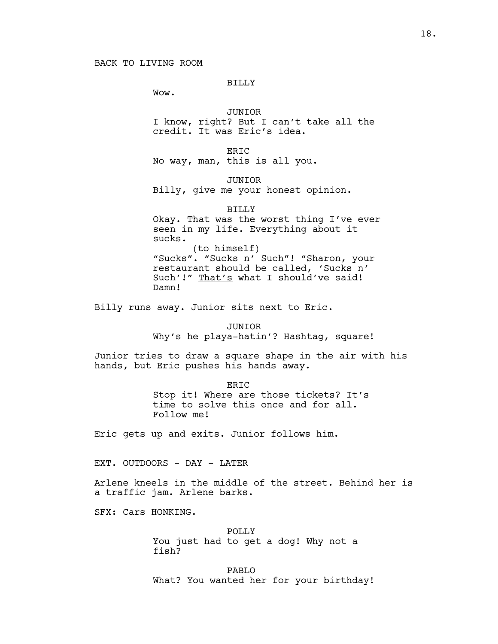# BILLY

Wow.

sucks.

# JUNIOR

I know, right? But I can't take all the credit. It was Eric's idea.

ER<sub>TC</sub> No way, man, this is all you.

JUNIOR

Billy, give me your honest opinion.

BILLY Okay. That was the worst thing I've ever seen in my life. Everything about it

(to himself) "Sucks". "Sucks n' Such"! "Sharon, your restaurant should be called, 'Sucks n' Such'!" That's what I should've said! Damn!

Billy runs away. Junior sits next to Eric.

JUNIOR Why's he playa-hatin'? Hashtag, square!

Junior tries to draw a square shape in the air with his hands, but Eric pushes his hands away.

> ER<sub>TC</sub> Stop it! Where are those tickets? It's time to solve this once and for all. Follow me!

Eric gets up and exits. Junior follows him.

EXT. OUTDOORS - DAY - LATER

Arlene kneels in the middle of the street. Behind her is a traffic jam. Arlene barks.

SFX: Cars HONKING.

POLLY You just had to get a dog! Why not a fish?

PABLO What? You wanted her for your birthday!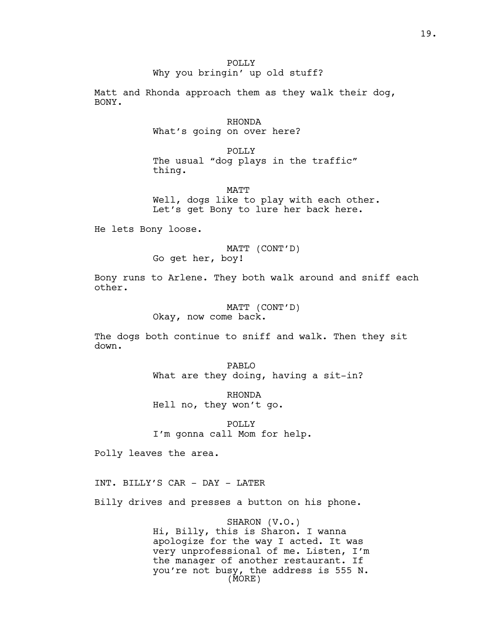POLLY Why you bringin' up old stuff?

Matt and Rhonda approach them as they walk their dog, BONY.

# RHONDA What's going on over here?

POLLY The usual "dog plays in the traffic" thing.

MATT Well, dogs like to play with each other. Let's get Bony to lure her back here.

He lets Bony loose.

# MATT (CONT'D) Go get her, boy!

Bony runs to Arlene. They both walk around and sniff each other.

> MATT (CONT'D) Okay, now come back.

The dogs both continue to sniff and walk. Then they sit down.

> PABLO What are they doing, having a sit-in?

RHONDA Hell no, they won't go.

POLLY I'm gonna call Mom for help.

Polly leaves the area.

INT. BILLY'S CAR - DAY - LATER

Billy drives and presses a button on his phone.

SHARON (V.O.) Hi, Billy, this is Sharon. I wanna apologize for the way I acted. It was very unprofessional of me. Listen, I'm the manager of another restaurant. If you're not busy, the address is 555 N. (MORE)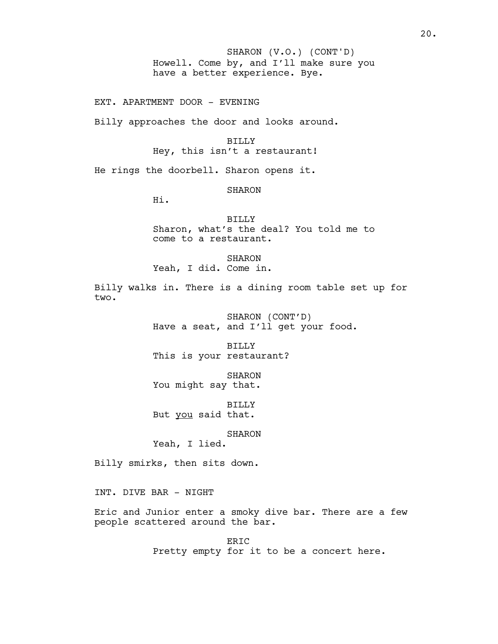Howell. Come by, and I'll make sure you have a better experience. Bye. SHARON (V.O.) (CONT'D)

EXT. APARTMENT DOOR - EVENING

Billy approaches the door and looks around.

BILLY Hey, this isn't a restaurant!

He rings the doorbell. Sharon opens it.

SHARON

Hi.

BILLY Sharon, what's the deal? You told me to come to a restaurant.

**SHARON** 

Yeah, I did. Come in.

Billy walks in. There is a dining room table set up for two.

> SHARON (CONT'D) Have a seat, and I'll get your food.

BILLY This is your restaurant?

SHARON You might say that.

BILLY But you said that.

SHARON

Yeah, I lied.

Billy smirks, then sits down.

INT. DIVE BAR - NIGHT

Eric and Junior enter a smoky dive bar. There are a few people scattered around the bar.

> ERIC Pretty empty for it to be a concert here.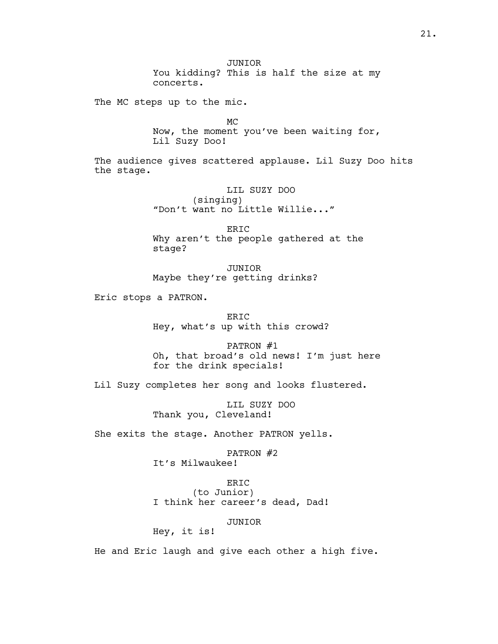JUNIOR You kidding? This is half the size at my concerts.

The MC steps up to the mic.

MC Now, the moment you've been waiting for, Lil Suzy Doo!

The audience gives scattered applause. Lil Suzy Doo hits the stage.

> LIL SUZY DOO (singing) "Don't want no Little Willie..."

ERIC Why aren't the people gathered at the stage?

JUNIOR Maybe they're getting drinks?

Eric stops a PATRON.

ERIC Hey, what's up with this crowd?

PATRON #1 Oh, that broad's old news! I'm just here for the drink specials!

Lil Suzy completes her song and looks flustered.

LIL SUZY DOO Thank you, Cleveland!

She exits the stage. Another PATRON yells.

PATRON #2

It's Milwaukee!

ERIC (to Junior)

I think her career's dead, Dad!

JUNIOR

Hey, it is!

He and Eric laugh and give each other a high five.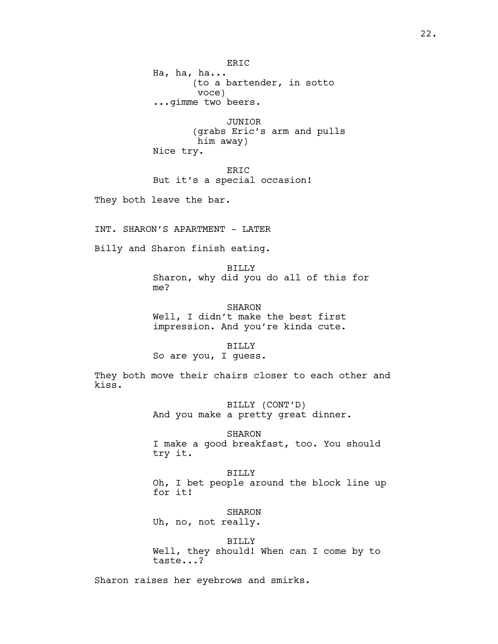ERIC Ha, ha, ha... (to a bartender, in sotto voce) ...gimme two beers.

JUNIOR (grabs Eric's arm and pulls him away) Nice try.

ERIC But it's a special occasion!

They both leave the bar.

INT. SHARON'S APARTMENT - LATER

Billy and Sharon finish eating.

BILLY Sharon, why did you do all of this for me?

SHARON Well, I didn't make the best first impression. And you're kinda cute.

## BILLY

So are you, I guess.

They both move their chairs closer to each other and kiss.

> BILLY (CONT'D) And you make a pretty great dinner.

SHARON I make a good breakfast, too. You should try it.

BILLY Oh, I bet people around the block line up for it!

SHARON

Uh, no, not really.

BILLY Well, they should! When can I come by to taste...?

Sharon raises her eyebrows and smirks.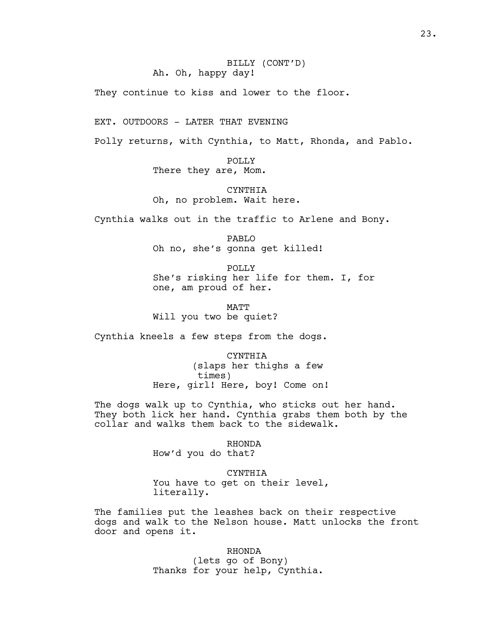They continue to kiss and lower to the floor.

EXT. OUTDOORS - LATER THAT EVENING

Polly returns, with Cynthia, to Matt, Rhonda, and Pablo.

POLLY There they are, Mom.

CYNTHIA Oh, no problem. Wait here.

Cynthia walks out in the traffic to Arlene and Bony.

PABLO Oh no, she's gonna get killed!

POLLY She's risking her life for them. I, for one, am proud of her.

MATT Will you two be quiet?

Cynthia kneels a few steps from the dogs.

CYNTHIA (slaps her thighs a few times) Here, girl! Here, boy! Come on!

The dogs walk up to Cynthia, who sticks out her hand. They both lick her hand. Cynthia grabs them both by the collar and walks them back to the sidewalk.

> RHONDA How'd you do that?

CYNTHIA You have to get on their level, literally.

The families put the leashes back on their respective dogs and walk to the Nelson house. Matt unlocks the front door and opens it.

> RHONDA (lets go of Bony) Thanks for your help, Cynthia.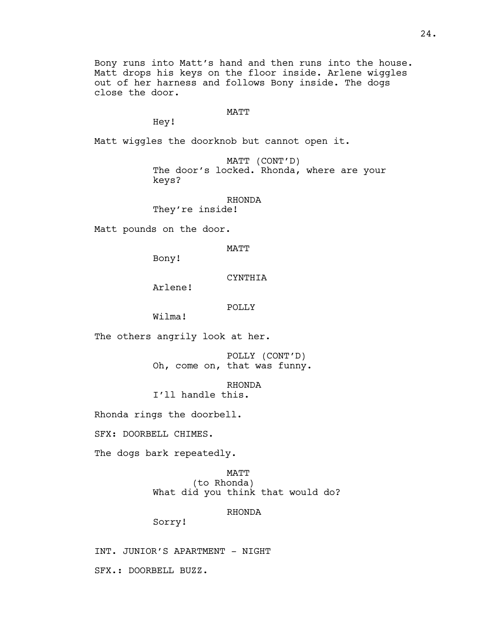Bony runs into Matt's hand and then runs into the house. Matt drops his keys on the floor inside. Arlene wiggles out of her harness and follows Bony inside. The dogs close the door.

## MATT

Hey!

Matt wiggles the doorknob but cannot open it.

MATT (CONT'D) The door's locked. Rhonda, where are your keys?

RHONDA

They're inside!

Matt pounds on the door.

MATT

Bony!

CYNTHIA

Arlene!

POLLY

Wilma!

The others angrily look at her.

POLLY (CONT'D) Oh, come on, that was funny.

RHONDA I'll handle this.

Rhonda rings the doorbell.

SFX: DOORBELL CHIMES.

The dogs bark repeatedly.

MATT (to Rhonda) What did you think that would do?

# RHONDA

Sorry!

INT. JUNIOR'S APARTMENT - NIGHT SFX.: DOORBELL BUZZ.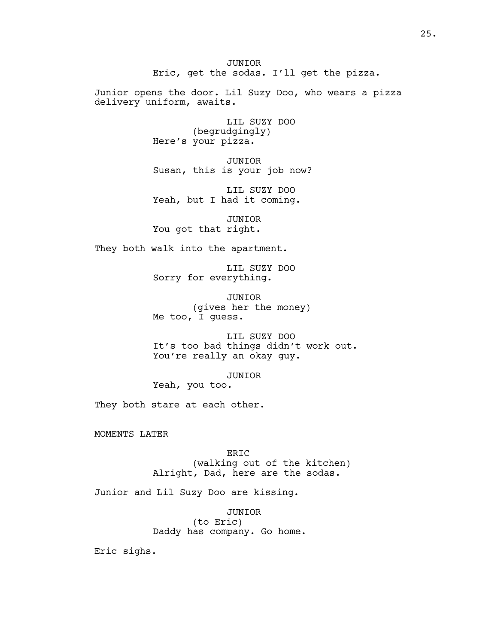JUNIOR Eric, get the sodas. I'll get the pizza.

Junior opens the door. Lil Suzy Doo, who wears a pizza delivery uniform, awaits.

> LIL SUZY DOO (begrudgingly) Here's your pizza.

JUNIOR Susan, this is your job now?

LIL SUZY DOO Yeah, but I had it coming.

JUNIOR You got that right.

They both walk into the apartment.

LIL SUZY DOO Sorry for everything.

JUNIOR (gives her the money) Me too, I guess.

LIL SUZY DOO It's too bad things didn't work out. You're really an okay guy.

JUNIOR Yeah, you too.

They both stare at each other.

MOMENTS LATER

ERIC (walking out of the kitchen) Alright, Dad, here are the sodas.

Junior and Lil Suzy Doo are kissing.

JUNIOR (to Eric) Daddy has company. Go home.

Eric sighs.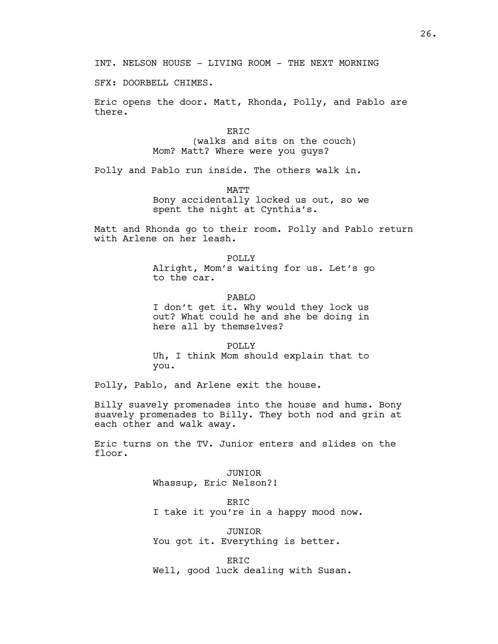SFX: DOORBELL CHIMES.

Eric opens the door. Matt, Rhonda, Polly, and Pablo are there.

> ERIC (walks and sits on the couch) Mom? Matt? Where were you guys?

Polly and Pablo run inside. The others walk in.

MATT

Bony accidentally locked us out, so we spent the night at Cynthia's.

Matt and Rhonda go to their room. Polly and Pablo return with Arlene on her leash.

> POLLY Alright, Mom's waiting for us. Let's go to the car.

PABLO I don't get it. Why would they lock us out? What could he and she be doing in here all by themselves?

POLLY Uh, I think Mom should explain that to you.

Polly, Pablo, and Arlene exit the house.

Billy suavely promenades into the house and hums. Bony suavely promenades to Billy. They both nod and grin at each other and walk away.

Eric turns on the TV. Junior enters and slides on the floor.

> JUNIOR Whassup, Eric Nelson?!

ERIC I take it you're in a happy mood now.

JUNIOR You got it. Everything is better.

ERIC Well, good luck dealing with Susan.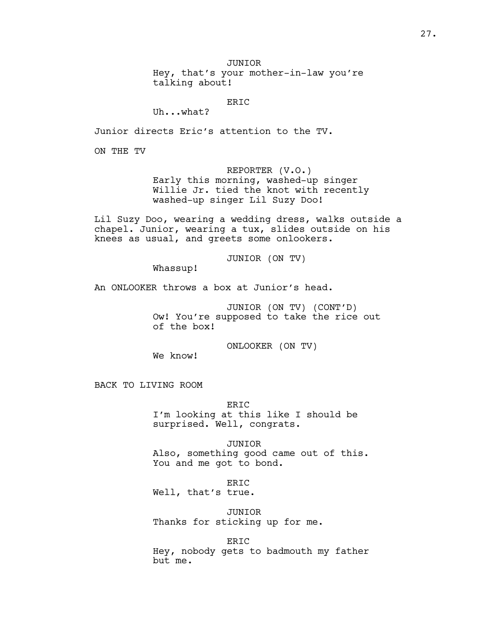JUNIOR

Hey, that's your mother-in-law you're talking about!

ERIC

Uh...what?

Junior directs Eric's attention to the TV.

ON THE TV

REPORTER (V.O.) Early this morning, washed-up singer Willie Jr. tied the knot with recently washed-up singer Lil Suzy Doo!

Lil Suzy Doo, wearing a wedding dress, walks outside a chapel. Junior, wearing a tux, slides outside on his knees as usual, and greets some onlookers.

JUNIOR (ON TV)

Whassup!

An ONLOOKER throws a box at Junior's head.

JUNIOR (ON TV) (CONT'D) Ow! You're supposed to take the rice out of the box!

ONLOOKER (ON TV)

We know!

BACK TO LIVING ROOM

ERIC I'm looking at this like I should be surprised. Well, congrats.

JUNIOR Also, something good came out of this. You and me got to bond.

ERIC Well, that's true.

JUNIOR Thanks for sticking up for me.

ERIC

Hey, nobody gets to badmouth my father but me.